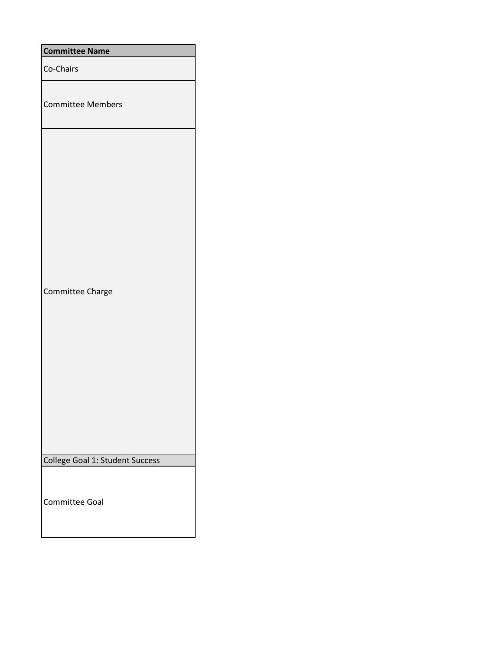| <b>Committee Name</b>           |
|---------------------------------|
| Co-Chairs                       |
| <b>Committee Members</b>        |
| Committee Charge                |
| College Goal 1: Student Success |
| <b>Committee Goal</b>           |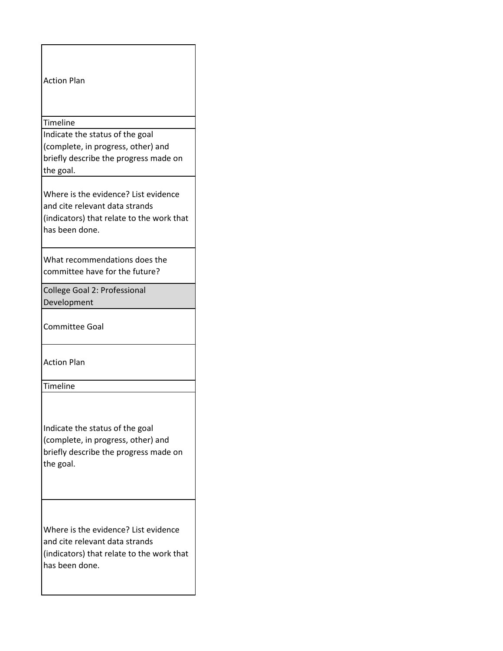| <b>Action Plan</b>                                                                                                                    |
|---------------------------------------------------------------------------------------------------------------------------------------|
| Timeline                                                                                                                              |
| Indicate the status of the goal                                                                                                       |
| (complete, in progress, other) and                                                                                                    |
| briefly describe the progress made on                                                                                                 |
| the goal.                                                                                                                             |
| Where is the evidence? List evidence                                                                                                  |
| and cite relevant data strands                                                                                                        |
| (indicators) that relate to the work that                                                                                             |
| has been done.                                                                                                                        |
|                                                                                                                                       |
| What recommendations does the<br>committee have for the future?                                                                       |
|                                                                                                                                       |
| College Goal 2: Professional                                                                                                          |
| Development                                                                                                                           |
| <b>Committee Goal</b>                                                                                                                 |
| <b>Action Plan</b>                                                                                                                    |
| Timeline                                                                                                                              |
| Indicate the status of the goal<br>(complete, in progress, other) and<br>briefly describe the progress made on<br>the goal.           |
| Where is the evidence? List evidence<br>and cite relevant data strands<br>(indicators) that relate to the work that<br>has been done. |

 $\mathsf{l}$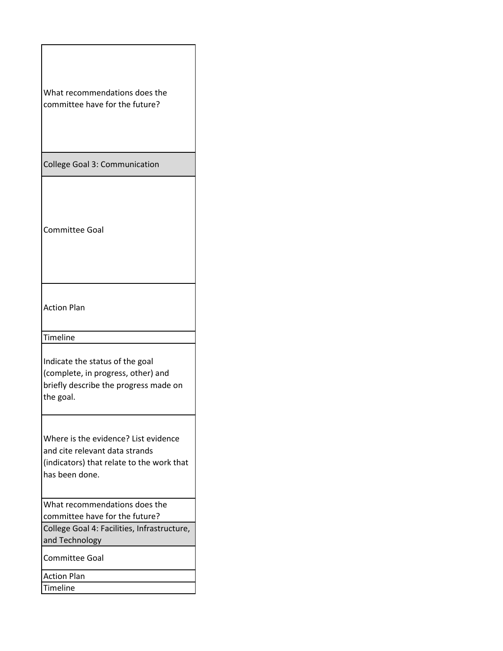| What recommendations does the<br>committee have for the future?                                                                       |
|---------------------------------------------------------------------------------------------------------------------------------------|
| <b>College Goal 3: Communication</b>                                                                                                  |
| <b>Committee Goal</b>                                                                                                                 |
| <b>Action Plan</b>                                                                                                                    |
| Timeline                                                                                                                              |
| Indicate the status of the goal<br>(complete, in progress, other) and<br>briefly describe the progress made on<br>the goal.           |
| Where is the evidence? List evidence<br>and cite relevant data strands<br>(indicators) that relate to the work that<br>has been done. |
| What recommendations does the<br>committee have for the future?                                                                       |
| College Goal 4: Facilities, Infrastructure,<br>and Technology                                                                         |
| Committee Goal                                                                                                                        |
| <b>Action Plan</b><br><b>Timeline</b>                                                                                                 |

 $\overline{\phantom{a}}$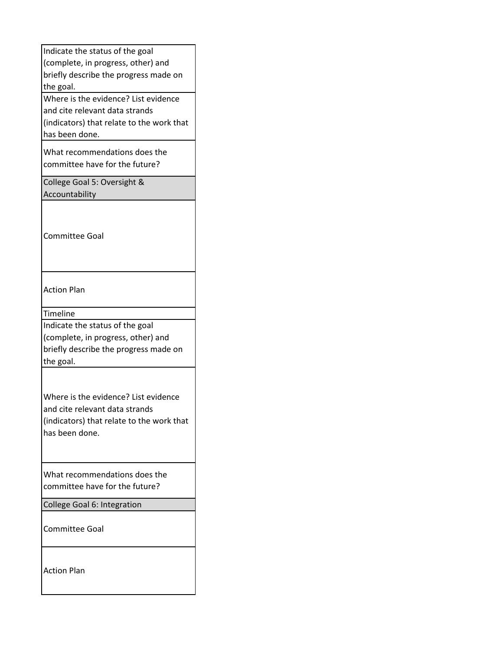| Indicate the status of the goal<br>(complete, in progress, other) and<br>briefly describe the progress made on<br>the goal.<br>Where is the evidence? List evidence<br>and cite relevant data strands<br>(indicators) that relate to the work that<br>has been done. |  |
|----------------------------------------------------------------------------------------------------------------------------------------------------------------------------------------------------------------------------------------------------------------------|--|
| What recommendations does the<br>committee have for the future?                                                                                                                                                                                                      |  |
| College Goal 5: Oversight &<br>Accountability                                                                                                                                                                                                                        |  |
| <b>Committee Goal</b>                                                                                                                                                                                                                                                |  |
| Action Plan                                                                                                                                                                                                                                                          |  |
| <b>Timeline</b>                                                                                                                                                                                                                                                      |  |
| Indicate the status of the goal<br>(complete, in progress, other) and<br>briefly describe the progress made on<br>the goal.                                                                                                                                          |  |
| Where is the evidence? List evidence<br>and cite relevant data strands<br>(indicators) that relate to the work that<br>has been done.                                                                                                                                |  |
| What recommendations does the<br>committee have for the future?                                                                                                                                                                                                      |  |
| College Goal 6: Integration                                                                                                                                                                                                                                          |  |
| Committee Goal                                                                                                                                                                                                                                                       |  |
| <b>Action Plan</b>                                                                                                                                                                                                                                                   |  |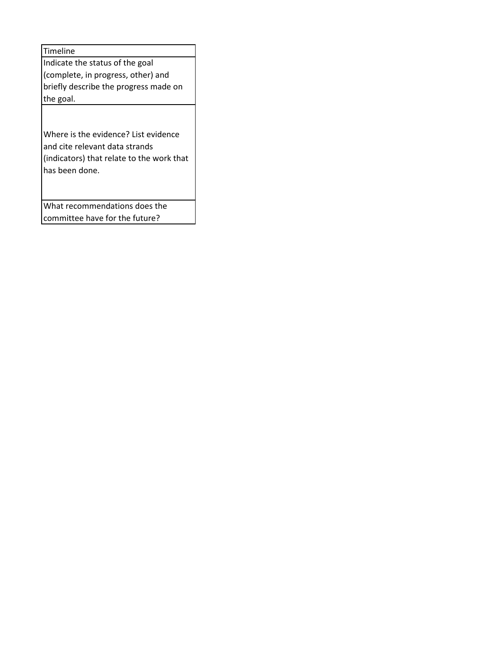Timeline Indicate the status of the goal (complete, in progress, other) and briefly describe the progress made on the goal.

Where is the evidence? List evidence and cite relevant data strands (indicators) that relate to the work that has been done.

What recommendations does the committee have for the future?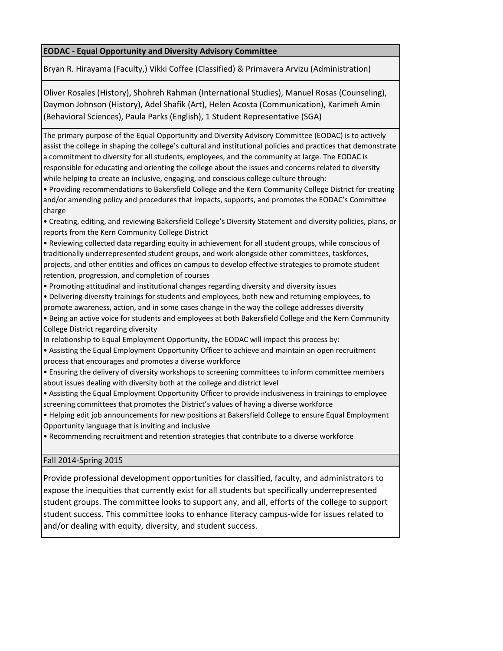## **EODAC - Equal Opportunity and Diversity Advisory Committee**

Bryan R. Hirayama (Faculty,) Vikki Coffee (Classified) & Primavera Arvizu (Administration)

Oliver Rosales (History), Shohreh Rahman (International Studies), Manuel Rosas (Counseling), Daymon Johnson (History), Adel Shafik (Art), Helen Acosta (Communication), Karimeh Amin (Behavioral Sciences), Paula Parks (English), 1 Student Representative (SGA)

The primary purpose of the Equal Opportunity and Diversity Advisory Committee (EODAC) is to actively assist the college in shaping the college's cultural and institutional policies and practices that demonstrate a commitment to diversity for all students, employees, and the community at large. The EODAC is responsible for educating and orienting the college about the issues and concerns related to diversity while helping to create an inclusive, engaging, and conscious college culture through:

• Providing recommendations to Bakersfield College and the Kern Community College District for creating and/or amending policy and procedures that impacts, supports, and promotes the EODAC's Committee charge

• Creating, editing, and reviewing Bakersfield College's Diversity Statement and diversity policies, plans, or reports from the Kern Community College District

• Reviewing collected data regarding equity in achievement for all student groups, while conscious of traditionally underrepresented student groups, and work alongside other committees, taskforces, projects, and other entities and offices on campus to develop effective strategies to promote student retention, progression, and completion of courses

- Promoting attitudinal and institutional changes regarding diversity and diversity issues
- Delivering diversity trainings for students and employees, both new and returning employees, to promote awareness, action, and in some cases change in the way the college addresses diversity
- Being an active voice for students and employees at both Bakersfield College and the Kern Community College District regarding diversity
- In relationship to Equal Employment Opportunity, the EODAC will impact this process by:

• Assisting the Equal Employment Opportunity Officer to achieve and maintain an open recruitment process that encourages and promotes a diverse workforce

• Ensuring the delivery of diversity workshops to screening committees to inform committee members about issues dealing with diversity both at the college and district level

• Assisting the Equal Employment Opportunity Officer to provide inclusiveness in trainings to employee screening committees that promotes the District's values of having a diverse workforce

• Helping edit job announcements for new positions at Bakersfield College to ensure Equal Employment Opportunity language that is inviting and inclusive

• Recommending recruitment and retention strategies that contribute to a diverse workforce

## Fall 2014-Spring 2015

Provide professional development opportunities for classified, faculty, and administrators to expose the inequities that currently exist for all students but specifically underrepresented student groups. The committee looks to support any, and all, efforts of the college to support student success. This committee looks to enhance literacy campus-wide for issues related to and/or dealing with equity, diversity, and student success.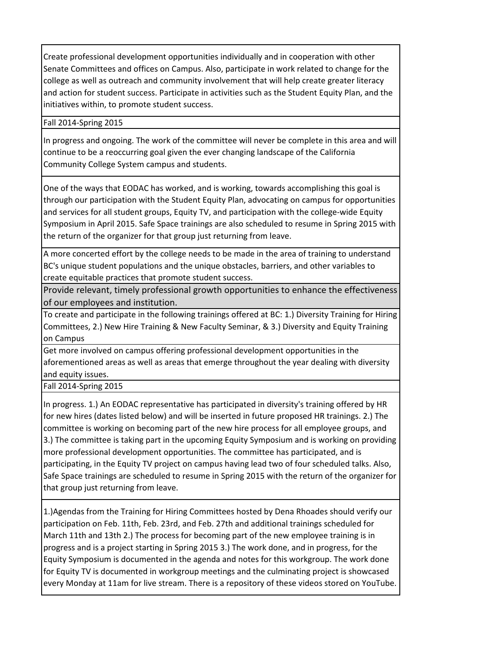Create professional development opportunities individually and in cooperation with other Senate Committees and offices on Campus. Also, participate in work related to change for the college as well as outreach and community involvement that will help create greater literacy and action for student success. Participate in activities such as the Student Equity Plan, and the initiatives within, to promote student success.

## Fall 2014-Spring 2015

In progress and ongoing. The work of the committee will never be complete in this area and will continue to be a reoccurring goal given the ever changing landscape of the California Community College System campus and students.

One of the ways that EODAC has worked, and is working, towards accomplishing this goal is through our participation with the Student Equity Plan, advocating on campus for opportunities and services for all student groups, Equity TV, and participation with the college-wide Equity Symposium in April 2015. Safe Space trainings are also scheduled to resume in Spring 2015 with the return of the organizer for that group just returning from leave.

A more concerted effort by the college needs to be made in the area of training to understand BC's unique student populations and the unique obstacles, barriers, and other variables to create equitable practices that promote student success.

Provide relevant, timely professional growth opportunities to enhance the effectiveness of our employees and institution.

To create and participate in the following trainings offered at BC: 1.) Diversity Training for Hiring Committees, 2.) New Hire Training & New Faculty Seminar, & 3.) Diversity and Equity Training on Campus

Get more involved on campus offering professional development opportunities in the aforementioned areas as well as areas that emerge throughout the year dealing with diversity and equity issues.

Fall 2014-Spring 2015

In progress. 1.) An EODAC representative has participated in diversity's training offered by HR for new hires (dates listed below) and will be inserted in future proposed HR trainings. 2.) The committee is working on becoming part of the new hire process for all employee groups, and 3.) The committee is taking part in the upcoming Equity Symposium and is working on providing more professional development opportunities. The committee has participated, and is participating, in the Equity TV project on campus having lead two of four scheduled talks. Also, Safe Space trainings are scheduled to resume in Spring 2015 with the return of the organizer for that group just returning from leave.

1.)Agendas from the Training for Hiring Committees hosted by Dena Rhoades should verify our participation on Feb. 11th, Feb. 23rd, and Feb. 27th and additional trainings scheduled for March 11th and 13th 2.) The process for becoming part of the new employee training is in progress and is a project starting in Spring 2015 3.) The work done, and in progress, for the Equity Symposium is documented in the agenda and notes for this workgroup. The work done for Equity TV is documented in workgroup meetings and the culminating project is showcased every Monday at 11am for live stream. There is a repository of these videos stored on YouTube.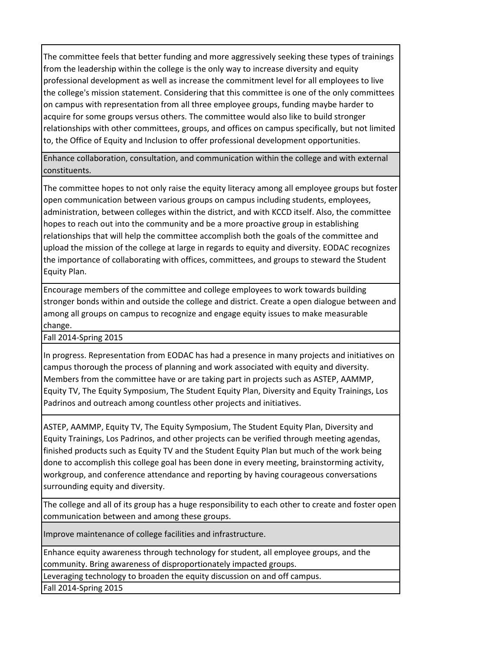The committee feels that better funding and more aggressively seeking these types of trainings from the leadership within the college is the only way to increase diversity and equity professional development as well as increase the commitment level for all employees to live the college's mission statement. Considering that this committee is one of the only committees on campus with representation from all three employee groups, funding maybe harder to acquire for some groups versus others. The committee would also like to build stronger relationships with other committees, groups, and offices on campus specifically, but not limited to, the Office of Equity and Inclusion to offer professional development opportunities.

Enhance collaboration, consultation, and communication within the college and with external constituents.

The committee hopes to not only raise the equity literacy among all employee groups but foster open communication between various groups on campus including students, employees, administration, between colleges within the district, and with KCCD itself. Also, the committee hopes to reach out into the community and be a more proactive group in establishing relationships that will help the committee accomplish both the goals of the committee and upload the mission of the college at large in regards to equity and diversity. EODAC recognizes the importance of collaborating with offices, committees, and groups to steward the Student Equity Plan.

Encourage members of the committee and college employees to work towards building stronger bonds within and outside the college and district. Create a open dialogue between and among all groups on campus to recognize and engage equity issues to make measurable change.

Fall 2014-Spring 2015

In progress. Representation from EODAC has had a presence in many projects and initiatives on campus thorough the process of planning and work associated with equity and diversity. Members from the committee have or are taking part in projects such as ASTEP, AAMMP, Equity TV, The Equity Symposium, The Student Equity Plan, Diversity and Equity Trainings, Los Padrinos and outreach among countless other projects and initiatives.

ASTEP, AAMMP, Equity TV, The Equity Symposium, The Student Equity Plan, Diversity and Equity Trainings, Los Padrinos, and other projects can be verified through meeting agendas, finished products such as Equity TV and the Student Equity Plan but much of the work being done to accomplish this college goal has been done in every meeting, brainstorming activity, workgroup, and conference attendance and reporting by having courageous conversations surrounding equity and diversity.

The college and all of its group has a huge responsibility to each other to create and foster open communication between and among these groups.

Improve maintenance of college facilities and infrastructure.

Enhance equity awareness through technology for student, all employee groups, and the community. Bring awareness of disproportionately impacted groups.

Leveraging technology to broaden the equity discussion on and off campus.

Fall 2014-Spring 2015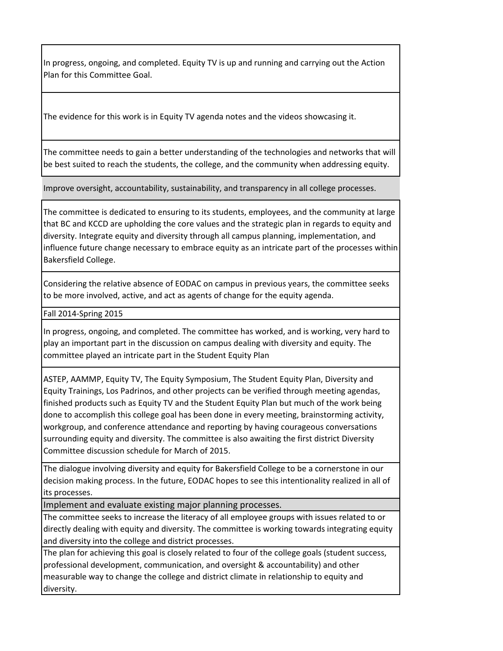In progress, ongoing, and completed. Equity TV is up and running and carrying out the Action Plan for this Committee Goal.

The evidence for this work is in Equity TV agenda notes and the videos showcasing it.

The committee needs to gain a better understanding of the technologies and networks that will be best suited to reach the students, the college, and the community when addressing equity.

Improve oversight, accountability, sustainability, and transparency in all college processes.

The committee is dedicated to ensuring to its students, employees, and the community at large that BC and KCCD are upholding the core values and the strategic plan in regards to equity and diversity. Integrate equity and diversity through all campus planning, implementation, and influence future change necessary to embrace equity as an intricate part of the processes within Bakersfield College.

Considering the relative absence of EODAC on campus in previous years, the committee seeks to be more involved, active, and act as agents of change for the equity agenda.

Fall 2014-Spring 2015

In progress, ongoing, and completed. The committee has worked, and is working, very hard to play an important part in the discussion on campus dealing with diversity and equity. The committee played an intricate part in the Student Equity Plan

ASTEP, AAMMP, Equity TV, The Equity Symposium, The Student Equity Plan, Diversity and Equity Trainings, Los Padrinos, and other projects can be verified through meeting agendas, finished products such as Equity TV and the Student Equity Plan but much of the work being done to accomplish this college goal has been done in every meeting, brainstorming activity, workgroup, and conference attendance and reporting by having courageous conversations surrounding equity and diversity. The committee is also awaiting the first district Diversity Committee discussion schedule for March of 2015.

The dialogue involving diversity and equity for Bakersfield College to be a cornerstone in our decision making process. In the future, EODAC hopes to see this intentionality realized in all of its processes.

Implement and evaluate existing major planning processes.

The committee seeks to increase the literacy of all employee groups with issues related to or directly dealing with equity and diversity. The committee is working towards integrating equity and diversity into the college and district processes.

The plan for achieving this goal is closely related to four of the college goals (student success, professional development, communication, and oversight & accountability) and other measurable way to change the college and district climate in relationship to equity and diversity.